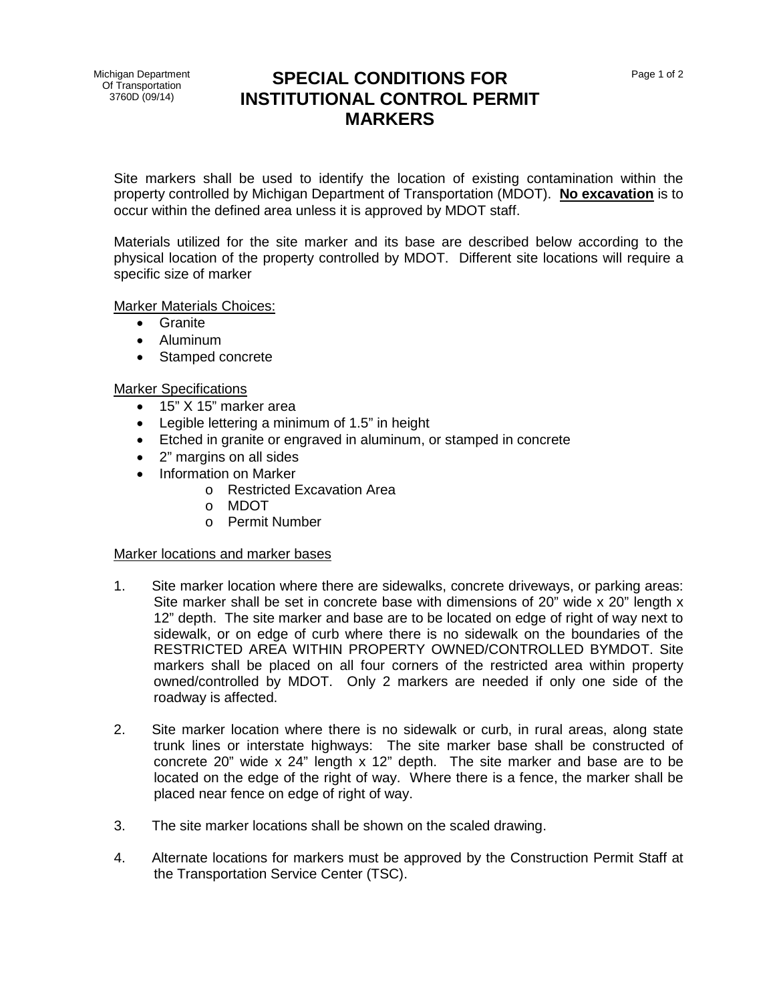## **SPECIAL CONDITIONS FOR INSTITUTIONAL CONTROL PERMIT MARKERS**

Site markers shall be used to identify the location of existing contamination within the property controlled by Michigan Department of Transportation (MDOT). **No excavation** is to occur within the defined area unless it is approved by MDOT staff.

Materials utilized for the site marker and its base are described below according to the physical location of the property controlled by MDOT. Different site locations will require a specific size of marker

Marker Materials Choices:

- Granite
- Aluminum
- Stamped concrete

Marker Specifications

- 15" X 15" marker area
- Legible lettering a minimum of 1.5" in height
- Etched in granite or engraved in aluminum, or stamped in concrete
- 2" margins on all sides
- Information on Marker
	- o Restricted Excavation Area
	- o MDOT
	- o Permit Number

## Marker locations and marker bases

- 1. Site marker location where there are sidewalks, concrete driveways, or parking areas: Site marker shall be set in concrete base with dimensions of 20" wide x 20" length x 12" depth. The site marker and base are to be located on edge of right of way next to sidewalk, or on edge of curb where there is no sidewalk on the boundaries of the RESTRICTED AREA WITHIN PROPERTY OWNED/CONTROLLED BYMDOT. Site markers shall be placed on all four corners of the restricted area within property owned/controlled by MDOT. Only 2 markers are needed if only one side of the roadway is affected.
- 2. Site marker location where there is no sidewalk or curb, in rural areas, along state trunk lines or interstate highways: The site marker base shall be constructed of concrete 20" wide x 24" length x 12" depth. The site marker and base are to be located on the edge of the right of way. Where there is a fence, the marker shall be placed near fence on edge of right of way.
- 3. The site marker locations shall be shown on the scaled drawing.
- 4. Alternate locations for markers must be approved by the Construction Permit Staff at the Transportation Service Center (TSC).